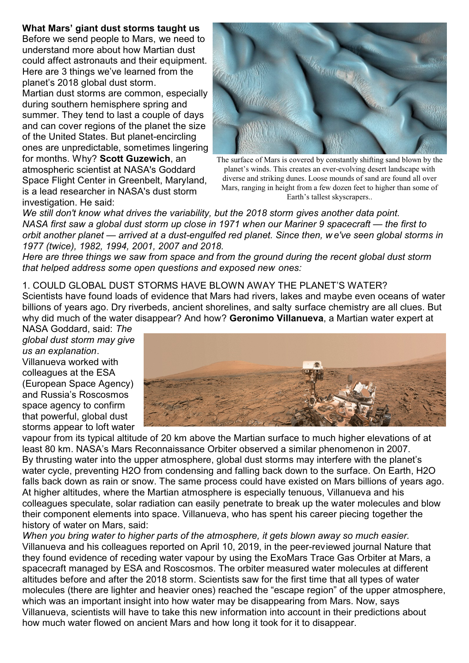## **What Mars' giant dust storms taught us**

Before we send people to Mars, we need to understand more about how Martian dust could affect astronauts and their equipment. Here are 3 things we've learned from the planet's 2018 global dust storm.

Martian dust storms are common, especially during southern hemisphere spring and summer. They tend to last a couple of days and can cover regions of the planet the size of the United States. But planet-encircling ones are unpredictable, sometimes lingering for months. Why? **Scott Guzewich**, an atmospheric scientist at NASA's Goddard Space Flight Center in Greenbelt, Maryland, is a lead researcher in NASA's dust storm investigation. He said:



The surface of Mars is covered by constantly shifting sand blown by the planet's winds. This creates an ever-evolving desert landscape with diverse and striking dunes. Loose mounds of sand are found all over Mars, ranging in height from a few dozen feet to higher than some of Earth's tallest skyscrapers..

*We still don't know what drives the variability, but the 2018 storm gives another data point. NASA first saw a global dust storm up close in 1971 when our Mariner 9 spacecraft — the first to orbit another planet — arrived at a dust-engulfed red planet. Since then, w e've seen global storms in 1977 (twice), 1982, 1994, 2001, 2007 and 2018.*

*Here are three things we saw from space and from the ground during the recent global dust storm that helped address some open questions and exposed new ones:*

## 1. COULD GLOBAL DUST STORMS HAVE BLOWN AWAY THE PLANET'S WATER?

Scientists have found loads of evidence that Mars had rivers, lakes and maybe even oceans of water billions of years ago. Dry riverbeds, ancient shorelines, and salty surface chemistry are all clues. But why did much of the water disappear? And how? **Geronimo Villanueva**, a Martian water expert at

NASA Goddard, said: *The global dust storm may give us an explanation*. Villanueva worked with colleagues at the ESA (European Space Agency) and Russia's Roscosmos space agency to confirm that powerful, global dust storms appear to loft water



vapour from its typical altitude of 20 km above the Martian surface to much higher elevations of at least 80 km. NASA's Mars Reconnaissance Orbiter observed a similar phenomenon in 2007. By thrusting water into the upper atmosphere, global dust storms may interfere with the planet's water cycle, preventing H2O from condensing and falling back down to the surface. On Earth, H2O falls back down as rain or snow. The same process could have existed on Mars billions of years ago. At higher altitudes, where the Martian atmosphere is especially tenuous, Villanueva and his colleagues speculate, solar radiation can easily penetrate to break up the water molecules and blow their component elements into space. Villanueva, who has spent his career piecing together the history of water on Mars, said:

*When you bring water to higher parts of the atmosphere, it gets blown away so much easier.* Villanueva and his colleagues reported on April 10, 2019, in the peer-reviewed journal Nature that they found evidence of receding water vapour by using the ExoMars Trace Gas Orbiter at Mars, a spacecraft managed by ESA and Roscosmos. The orbiter measured water molecules at different altitudes before and after the 2018 storm. Scientists saw for the first time that all types of water molecules (there are lighter and heavier ones) reached the "escape region" of the upper atmosphere, which was an important insight into how water may be disappearing from Mars. Now, says Villanueva, scientists will have to take this new information into account in their predictions about how much water flowed on ancient Mars and how long it took for it to disappear.